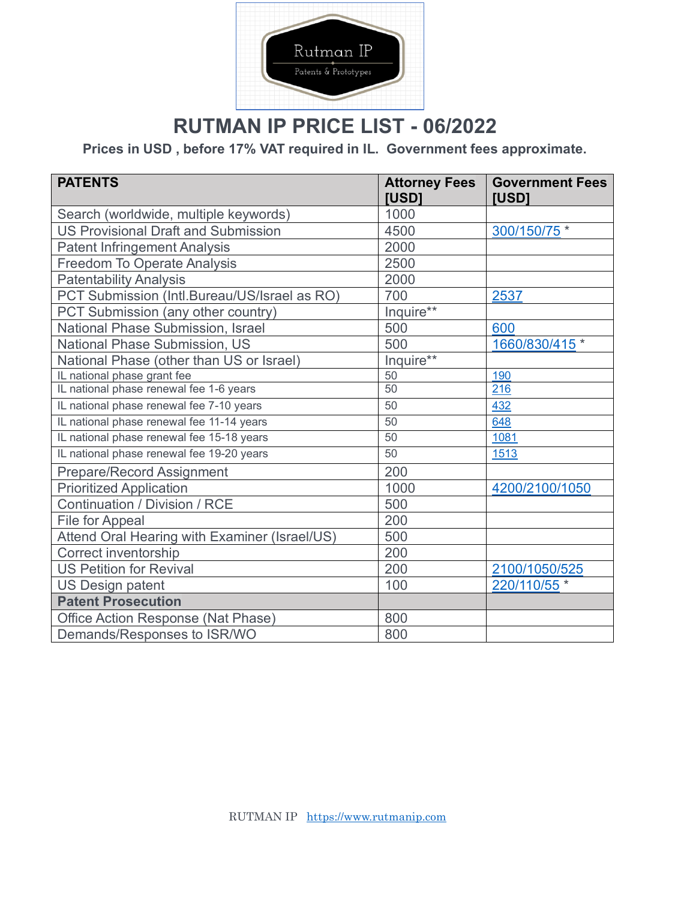

## **RUTMAN IP PRICE LIST - 06/2022**

**Prices in USD , before 17% VAT required in IL. Government fees approximate.**

| <b>PATENTS</b>                                | <b>Attorney Fees</b><br><b>IUSD1</b> | <b>Government Fees</b><br><b>[USD]</b> |
|-----------------------------------------------|--------------------------------------|----------------------------------------|
| Search (worldwide, multiple keywords)         | 1000                                 |                                        |
| <b>US Provisional Draft and Submission</b>    | 4500                                 | 300/150/75 *                           |
| <b>Patent Infringement Analysis</b>           | 2000                                 |                                        |
| <b>Freedom To Operate Analysis</b>            | 2500                                 |                                        |
| <b>Patentability Analysis</b>                 | 2000                                 |                                        |
| PCT Submission (Intl.Bureau/US/Israel as RO)  | 700                                  | 2537                                   |
| PCT Submission (any other country)            | Inquire**                            |                                        |
| National Phase Submission, Israel             | 500                                  | 600                                    |
| National Phase Submission, US                 | 500                                  | 1660/830/415 *                         |
| National Phase (other than US or Israel)      | Inquire**                            |                                        |
| IL national phase grant fee                   | 50                                   | 190                                    |
| IL national phase renewal fee 1-6 years       | 50                                   | 216                                    |
| IL national phase renewal fee 7-10 years      | 50                                   | 432                                    |
| IL national phase renewal fee 11-14 years     | 50                                   | 648                                    |
| IL national phase renewal fee 15-18 years     | 50                                   | 1081                                   |
| IL national phase renewal fee 19-20 years     | 50                                   | 1513                                   |
| Prepare/Record Assignment                     | 200                                  |                                        |
| <b>Prioritized Application</b>                | 1000                                 | 4200/2100/1050                         |
| <b>Continuation / Division / RCE</b>          | 500                                  |                                        |
| File for Appeal                               | 200                                  |                                        |
| Attend Oral Hearing with Examiner (Israel/US) | 500                                  |                                        |
| Correct inventorship                          | 200                                  |                                        |
| <b>US Petition for Revival</b>                | 200                                  | 2100/1050/525                          |
| <b>US Design patent</b>                       | 100                                  | 220/110/55 *                           |
| <b>Patent Prosecution</b>                     |                                      |                                        |
| Office Action Response (Nat Phase)            | 800                                  |                                        |
| Demands/Responses to ISR/WO                   | 800                                  |                                        |